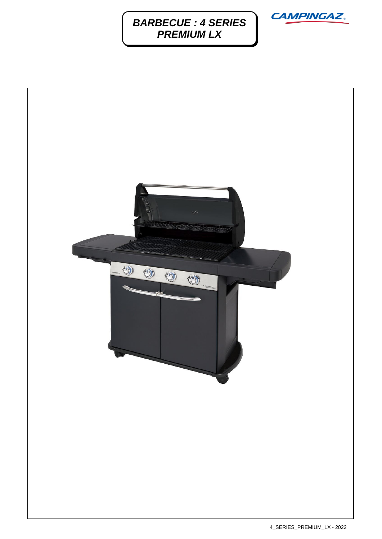## *BARBECUE : 4 SERIES PREMIUM LX*





4\_SERIES\_PREMIUM\_LX - 2022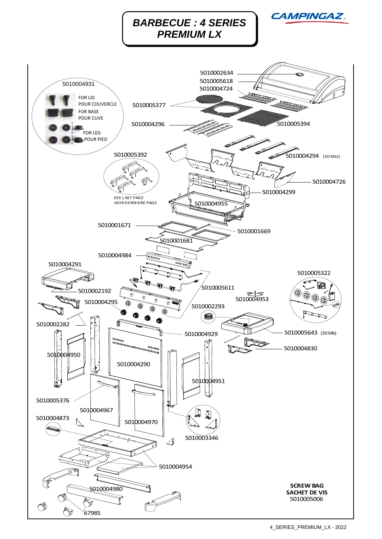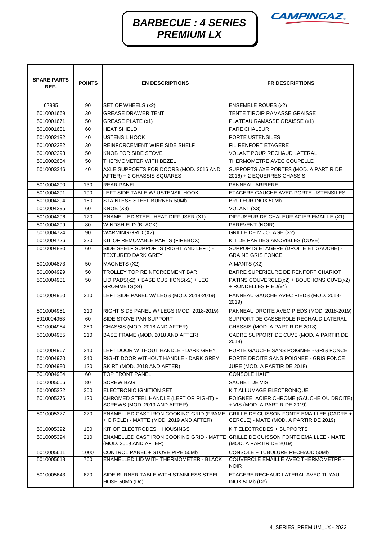

## *BARBECUE : 4 SERIES PREMIUM LX*

| <b>SPARE PARTS</b><br>REF. | <b>POINTS</b> | <b>EN DESCRIPTIONS</b>                                                                                    | <b>FR DESCRIPTIONS</b>                                                                                                      |
|----------------------------|---------------|-----------------------------------------------------------------------------------------------------------|-----------------------------------------------------------------------------------------------------------------------------|
| 67985                      | 90            | SET OF WHEELS (x2)                                                                                        | <b>ENSEMBLE ROUES (x2)</b>                                                                                                  |
| 5010001669                 | 30            | <b>GREASE DRAWER TENT</b>                                                                                 | TENTE TIROIR RAMASSE GRAISSE                                                                                                |
| 5010001671                 | 50            | <b>GREASE PLATE (x1)</b>                                                                                  | PLATEAU RAMASSE GRAISSE (x1)                                                                                                |
| 5010001681                 | 60            | <b>HEAT SHIELD</b>                                                                                        | PARE CHALEUR                                                                                                                |
| 5010002192                 | 40            | <b>USTENSIL HOOK</b>                                                                                      | PORTE USTENSILES                                                                                                            |
| 5010002282                 | 30            | REINFORCEMENT WIRE SIDE SHELF                                                                             | FIL RENFORT ETAGERE                                                                                                         |
| 5010002293                 | 50            | KNOB FOR SIDE STOVE                                                                                       | <b>VOLANT POUR RECHAUD LATERAL</b>                                                                                          |
| 5010002634                 | 50            | THERMOMETER WITH BEZEL                                                                                    | THERMOMETRE AVEC COUPELLE                                                                                                   |
| 5010003346                 | 40            | AXLE SUPPORTS FOR DOORS (MOD. 2016 AND<br>AFTER) + 2 CHASSIS SQUARES                                      | SUPPORTS AXE PORTES (MOD. A PARTIR DE<br>2016) + 2 EQUERRES CHASSIS                                                         |
| 5010004290                 | 130           | <b>REAR PANEL</b>                                                                                         | <b>PANNEAU ARRIERE</b>                                                                                                      |
| 5010004291                 | 190           | LEFT SIDE TABLE W/ USTENSIL HOOK                                                                          | ETAGERE GAUCHE AVEC PORTE USTENSILES                                                                                        |
| 5010004294                 | 180           | STAINLESS STEEL BURNER 50Mb                                                                               | <b>BRULEUR INOX 50Mb</b>                                                                                                    |
| 5010004295                 | 60            | KNOB (X3)                                                                                                 | VOLANT (X3)                                                                                                                 |
| 5010004296                 | 120           | <b>ENAMELLED STEEL HEAT DIFFUSER (X1)</b>                                                                 | DIFFUSEUR DE CHALEUR ACIER EMAILLE (X1)                                                                                     |
| 5010004299                 | 80            | <b>WINDSHIELD (BLACK)</b>                                                                                 | PAREVENT (NOIR)                                                                                                             |
| 5010004724                 | 90            | <b>WARMING GRID (X2)</b>                                                                                  | <b>GRILLE DE MIJOTAGE (X2)</b>                                                                                              |
| 5010004726                 | 320           | KIT OF REMOVABLE PARTS (FIREBOX)                                                                          | KIT DE PARTIES AMOVIBLES (CUVE)                                                                                             |
| 5010004830                 | 60            | SIDE SHELF SUPPORTS (RIGHT AND LEFT) -<br><b>TEXTURED DARK GREY</b>                                       | SUPPORTS ETAGERE (DROITE ET GAUCHE) -<br><b>GRAINE GRIS FONCE</b>                                                           |
| 5010004873                 | 50            | MAGNETS (X2)                                                                                              | AIMANTS (X2)                                                                                                                |
| 5010004929                 | 50            | TROLLEY TOP REINFORCEMENT BAR                                                                             | BARRE SUPERIEURE DE RENFORT CHARIOT                                                                                         |
| 5010004931                 | 50            | LID PADS(x2) + BASE CUSHIONS(x2) + LEG<br>GROMMETS(x4)                                                    | PATINS COUVERCLE(x2) + BOUCHONS CUVE(x2)<br>+ RONDELLES PIED(x4)                                                            |
| 5010004950                 | 210           | LEFT SIDE PANEL W/ LEGS (MOD. 2018-2019)                                                                  | PANNEAU GAUCHE AVEC PIEDS (MOD. 2018-<br>2019)                                                                              |
| 5010004951                 | 210           | RIGHT SIDE PANEL W/ LEGS (MOD. 2018-2019)                                                                 | PANNEAU DROITE AVEC PIEDS (MOD. 2018-2019)                                                                                  |
| 5010004953                 | 60            | SIDE STOVE PAN SUPPORT                                                                                    | SUPPORT DE CASSEROLE RECHAUD LATERAL                                                                                        |
| 5010004954                 | 250           | CHASSIS (MOD. 2018 AND AFTER)                                                                             | CHASSIS (MOD. A PARTIR DE 2018)                                                                                             |
| 5010004955                 | 210           | BASE FRAME (MOD. 2018 AND AFTER)                                                                          | CADRE SUPPORT DE CUVE (MOD. A PARTIR DE<br>2018)                                                                            |
| 5010004967                 | 240           | LEFT DOOR WITHOUT HANDLE - DARK GREY                                                                      | PORTE GAUCHE SANS POIGNEE - GRIS FONCE                                                                                      |
| 5010004970                 | 240           | RIGHT DOOR WITHOUT HANDLE - DARK GREY                                                                     | PORTE DROITE SANS POIGNEE - GRIS FONCE                                                                                      |
| 5010004980                 | 120           | SKIRT (MOD. 2018 AND AFTER)                                                                               | JUPE (MOD. A PARTIR DE 2018)                                                                                                |
| 5010004984                 | 60            | <b>TOP FRONT PANEL</b>                                                                                    | <b>CONSOLE HAUT</b>                                                                                                         |
| 5010005006                 | 80            | <b>SCREW BAG</b>                                                                                          | SACHET DE VIS                                                                                                               |
| 5010005322                 | 300           | ELECTRONIC IGNITION SET                                                                                   | KIT ALLUMAGE ELECTRONIQUE                                                                                                   |
| 5010005376                 | 120           | CHROMED STEEL HANDLE (LEFT OR RIGHT) +<br>SCREWS (MOD. 2019 AND AFTER)                                    | POIGNEE ACIER CHROME (GAUCHE OU DROITE)<br>+ VIS (MOD. A PARTIR DE 2019)                                                    |
| 5010005377                 | 270           | + CIRCLE) - MATTE (MOD. 2019 AND AFTER)                                                                   | ENAMELLED CAST IRON COOKING GRID (FRAME GRILLE DE CUISSON FONTE EMAILLEE (CADRE +<br>CERCLE) - MATE (MOD. A PARTIR DE 2019) |
| 5010005392                 | 180           | KIT OF ELECTRODES + HOUSINGS                                                                              | KIT ELECTRODES + SUPPORTS                                                                                                   |
| 5010005394                 | 210           | ENAMELLED CAST IRON COOKING GRID - MATTE GRILLE DE CUISSON FONTE EMAILLEE - MATE<br>(MOD. 2019 AND AFTER) | (MOD. A PARTIR DE 2019)                                                                                                     |
| 5010005611                 | 1000          | CONTROL PANEL + STOVE PIPE 50Mb                                                                           | CONSOLE + TUBULURE RECHAUD 50Mb                                                                                             |
| 5010005618                 | 760           | ENAMELLED LID WITH THERMOMETER - BLACK                                                                    | COUVERCLE EMAILLE AVEC THERMOMETRE -<br><b>NOIR</b>                                                                         |
| 5010005643                 | 620           | SIDE BURNER TABLE WITH STAINLESS STEEL<br>HOSE 50Mb (De)                                                  | ETAGERE RECHAUD LATERAL AVEC TUYAU<br>INOX 50Mb (De)                                                                        |